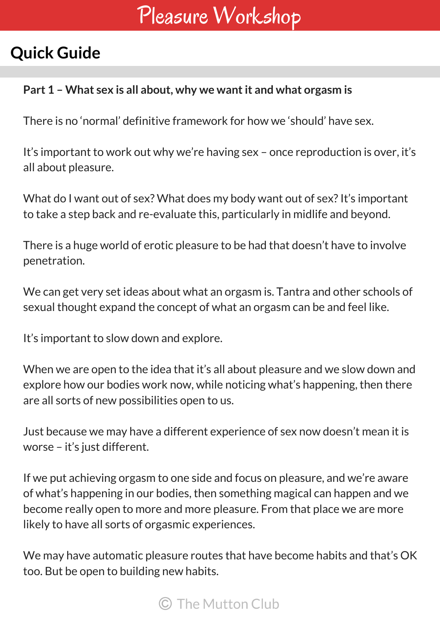# Pleasure Workshop

## **Quick Guide**

#### **Part 1 – What sex is all about, why we wantit and what orgasm is**

There is no 'normal' definitive framework for how we 'should' have sex.

It's important to work out why we're having sex – once reproduction is over, it's all about pleasure.

What do I want out of sex? What does my body want out of sex? It's important to take a step back and re-evaluate this, particularly in midlife and beyond.

There is a huge world of erotic pleasure to be had that doesn't have to involve penetration.

We can get very set ideas about what an orgasm is. Tantra and other schools of sexual thought expand the concept of what an orgasm can be and feel like.

It's important to slow down and explore.

When we are open to the idea that it's all about pleasure and we slow down and explore how our bodies work now, while noticing what's happening, then there are all sorts of new possibilities open to us.

Just because we may have a different experience of sex now doesn't mean it is worse – it's just different.

If we put achieving orgasm to one side and focus on pleasure, and we're aware of what's happening in our bodies, then something magical can happen and we become really open to more and more pleasure. From that place we are more likely to have all sorts of orgasmic experiences.

We may have automatic pleasure routes that have become habits and that's OK too. But be open to building new habits.

### C The Mutton Club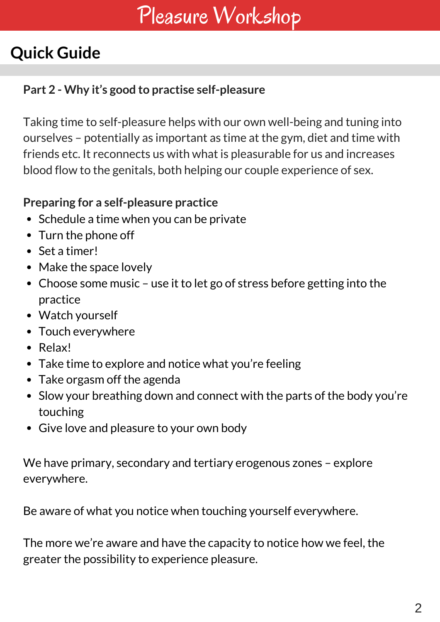# Pleasure Workshop

## **Quick Guide**

### **Part 2 - Why it's good to practise self-pleasure**

Taking time to self-pleasure helps with our own well-being and tuning into ourselves – potentially as important as time at the gym, diet and time with friends etc. It reconnects us with what is pleasurable for us and increases blood flow to the genitals, both helping our couple experience of sex.

### **Preparing for a self-pleasure practice**

- Schedule a time when you can be private
- Turn the phone off
- Set a timer!
- Make the space lovely
- Choose some music use it to let go of stress before getting into the practice
- Watch yourself
- Touch everywhere
- Relax!
- Take time to explore and notice what you're feeling
- Take orgasm off the agenda
- Slow your breathing down and connect with the parts of the body you're touching
- Give love and pleasure to your own body

We have primary, secondary and tertiary erogenous zones – explore everywhere.

Be aware of what you notice when touching yourself everywhere.

The more we're aware and have the capacity to notice how we feel, the greater the possibility to experience pleasure.